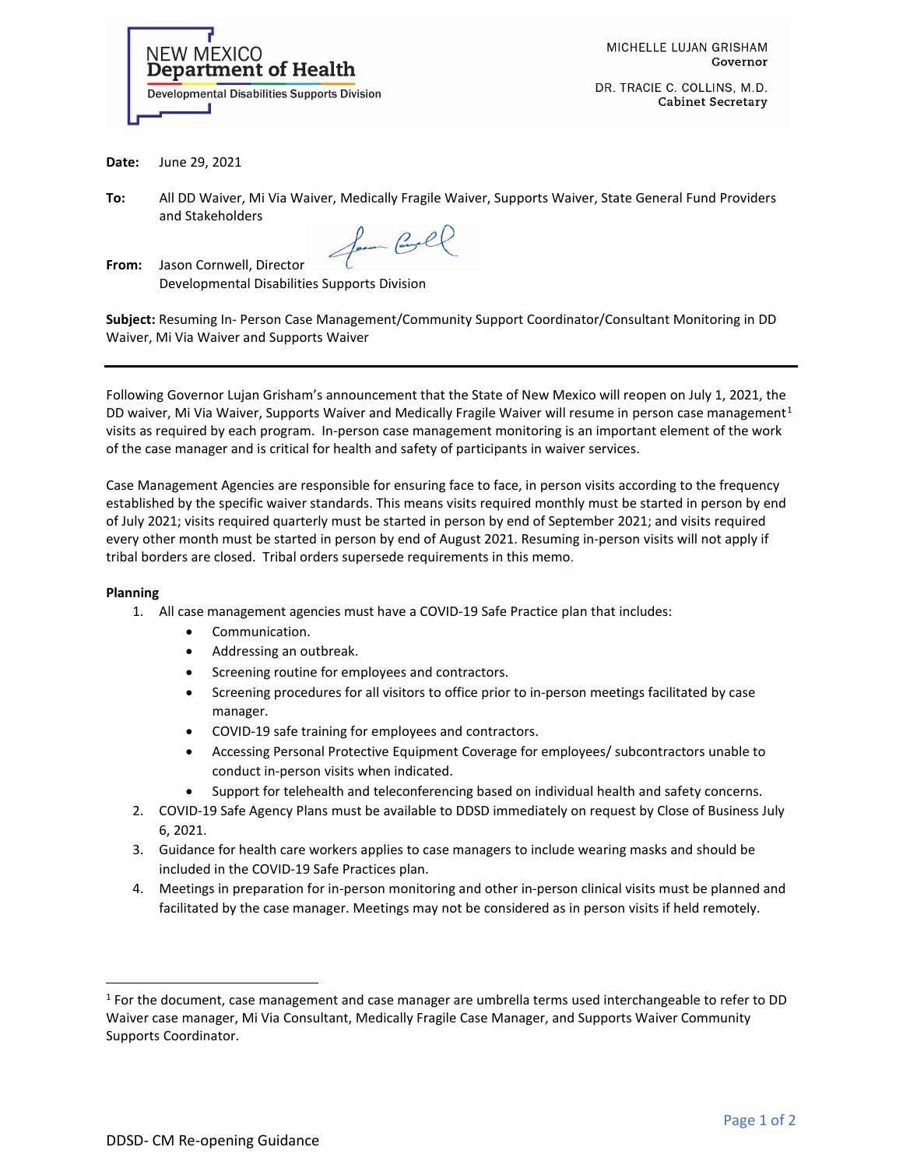

DR. TRACIE C. COLLINS, M.D. **Cabinet Secretary** 

**Date:** June 29, 2021

**To:** All DD Waiver, Mi Via Waiver, Medically Fragile Waiver, Supports Waiver, State General Fund Providers and Stakeholders

fam Carl

**From:** Jason Cornwell, Director Developmental Disabilities Supports Division

**Subject:** Resuming In- Person Case Management/Community Support Coordinator/Consultant Monitoring in DD Waiver, Mi Via Waiver and Supports Waiver

Following Governor Lujan Grisham's announcement that the State of New Mexico will reopen on July 1, 2021, the DD waiver, Mi Via Waiver, Supports Waiver and Medically Fragile Waiver will resume in person case management<sup>[1](#page-0-0)</sup> visits as required by each program. In-person case management monitoring is an important element of the work of the case manager and is critical for health and safety of participants in waiver services.

Case Management Agencies are responsible for ensuring face to face, in person visits according to the frequency established by the specific waiver standards. This means visits required monthly must be started in person by end of July 2021; visits required quarterly must be started in person by end of September 2021; and visits required every other month must be started in person by end of August 2021. Resuming in-person visits will not apply if tribal borders are closed. Tribal orders supersede requirements in this memo.

## **Planning**

- 1. All case management agencies must have a COVID-19 Safe Practice plan that includes:
	- Communication.
	- Addressing an outbreak.
	- Screening routine for employees and contractors.
	- Screening procedures for all visitors to office prior to in-person meetings facilitated by case manager.
	- COVID-19 safe training for employees and contractors.
	- Accessing Personal Protective Equipment Coverage for employees/ subcontractors unable to conduct in-person visits when indicated.
	- Support for telehealth and teleconferencing based on individual health and safety concerns.
- 2. COVID-19 Safe Agency Plans must be available to DDSD immediately on request by Close of Business July 6, 2021.
- 3. Guidance for health care workers applies to case managers to include wearing masks and should be included in the COVID-19 Safe Practices plan.
- 4. Meetings in preparation for in-person monitoring and other in-person clinical visits must be planned and facilitated by the case manager. Meetings may not be considered as in person visits if held remotely.

<span id="page-0-0"></span><sup>1</sup> For the document, case management and case manager are umbrella terms used interchangeable to refer to DD Waiver case manager, Mi Via Consultant, Medically Fragile Case Manager, and Supports Waiver Community Supports Coordinator.